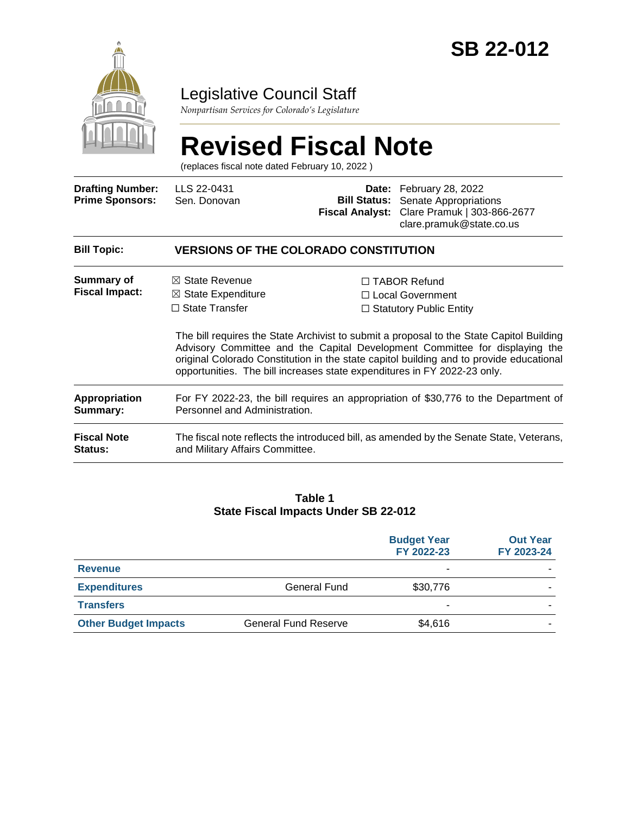

## Legislative Council Staff

*Nonpartisan Services for Colorado's Legislature*

# **Revised Fiscal Note**

(replaces fiscal note dated February 10, 2022 )

| <b>Drafting Number:</b><br><b>Prime Sponsors:</b> | LLS 22-0431<br>Sen. Donovan                                                                                                                                     | <b>Bill Status:</b><br>Fiscal Analyst: | Date: February 28, 2022<br>Senate Appropriations<br>Clare Pramuk   303-866-2677<br>clare.pramuk@state.co.us                                                                                                                                                                                                                                       |  |
|---------------------------------------------------|-----------------------------------------------------------------------------------------------------------------------------------------------------------------|----------------------------------------|---------------------------------------------------------------------------------------------------------------------------------------------------------------------------------------------------------------------------------------------------------------------------------------------------------------------------------------------------|--|
| <b>Bill Topic:</b>                                | <b>VERSIONS OF THE COLORADO CONSTITUTION</b>                                                                                                                    |                                        |                                                                                                                                                                                                                                                                                                                                                   |  |
| Summary of<br><b>Fiscal Impact:</b>               | $\boxtimes$ State Revenue<br>$\boxtimes$ State Expenditure<br>$\Box$ State Transfer<br>opportunities. The bill increases state expenditures in FY 2022-23 only. |                                        | $\Box$ TABOR Refund<br>□ Local Government<br>$\Box$ Statutory Public Entity<br>The bill requires the State Archivist to submit a proposal to the State Capitol Building<br>Advisory Committee and the Capital Development Committee for displaying the<br>original Colorado Constitution in the state capitol building and to provide educational |  |
| <b>Appropriation</b><br>Summary:                  | For FY 2022-23, the bill requires an appropriation of \$30,776 to the Department of<br>Personnel and Administration.                                            |                                        |                                                                                                                                                                                                                                                                                                                                                   |  |
| <b>Fiscal Note</b><br>Status:                     | The fiscal note reflects the introduced bill, as amended by the Senate State, Veterans,<br>and Military Affairs Committee.                                      |                                        |                                                                                                                                                                                                                                                                                                                                                   |  |

#### **Table 1 State Fiscal Impacts Under SB 22-012**

|                             |                             | <b>Budget Year</b><br>FY 2022-23 | <b>Out Year</b><br>FY 2023-24 |
|-----------------------------|-----------------------------|----------------------------------|-------------------------------|
| <b>Revenue</b>              |                             | ۰                                |                               |
| <b>Expenditures</b>         | General Fund                | \$30,776                         |                               |
| <b>Transfers</b>            |                             | -                                |                               |
| <b>Other Budget Impacts</b> | <b>General Fund Reserve</b> | \$4,616                          |                               |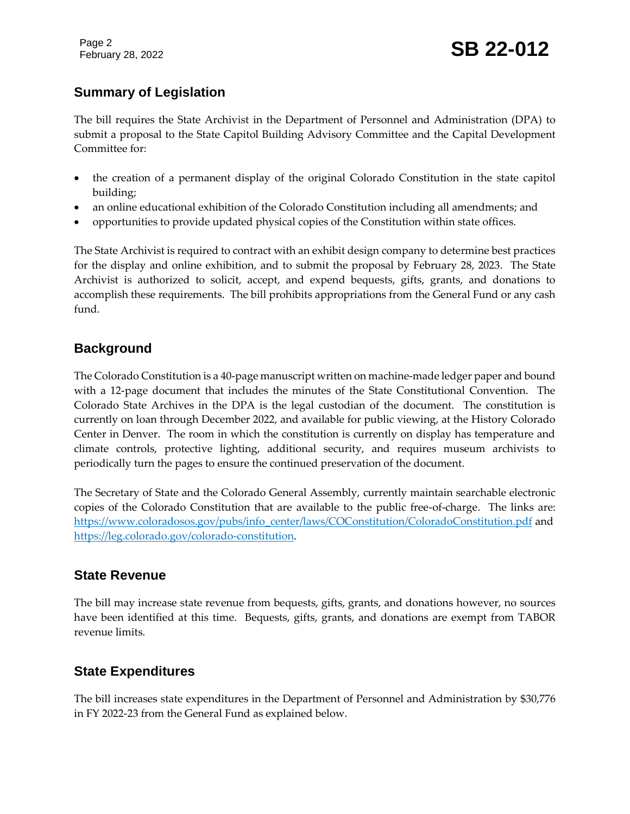Page 2

### **Summary of Legislation**

The bill requires the State Archivist in the Department of Personnel and Administration (DPA) to submit a proposal to the State Capitol Building Advisory Committee and the Capital Development Committee for:

- the creation of a permanent display of the original Colorado Constitution in the state capitol building;
- an online educational exhibition of the Colorado Constitution including all amendments; and
- opportunities to provide updated physical copies of the Constitution within state offices.

The State Archivist is required to contract with an exhibit design company to determine best practices for the display and online exhibition, and to submit the proposal by February 28, 2023. The State Archivist is authorized to solicit, accept, and expend bequests, gifts, grants, and donations to accomplish these requirements. The bill prohibits appropriations from the General Fund or any cash fund.

#### **Background**

The Colorado Constitution is a 40-page manuscript written on machine-made ledger paper and bound with a 12-page document that includes the minutes of the State Constitutional Convention. The Colorado State Archives in the DPA is the legal custodian of the document. The constitution is currently on loan through December 2022, and available for public viewing, at the History Colorado Center in Denver. The room in which the constitution is currently on display has temperature and climate controls, protective lighting, additional security, and requires museum archivists to periodically turn the pages to ensure the continued preservation of the document.

The Secretary of State and the Colorado General Assembly, currently maintain searchable electronic copies of the Colorado Constitution that are available to the public free-of-charge. The links are: [https://www.coloradosos.gov/pubs/info\\_center/laws/COConstitution/ColoradoConstitution.pdf](https://www.coloradosos.gov/pubs/info_center/laws/COConstitution/ColoradoConstitution.pdf) and [https://leg.colorado.gov/colorado-constitution.](https://leg.colorado.gov/colorado-constitution)

#### **State Revenue**

The bill may increase state revenue from bequests, gifts, grants, and donations however, no sources have been identified at this time. Bequests, gifts, grants, and donations are exempt from TABOR revenue limits.

#### **State Expenditures**

The bill increases state expenditures in the Department of Personnel and Administration by \$30,776 in FY 2022-23 from the General Fund as explained below.